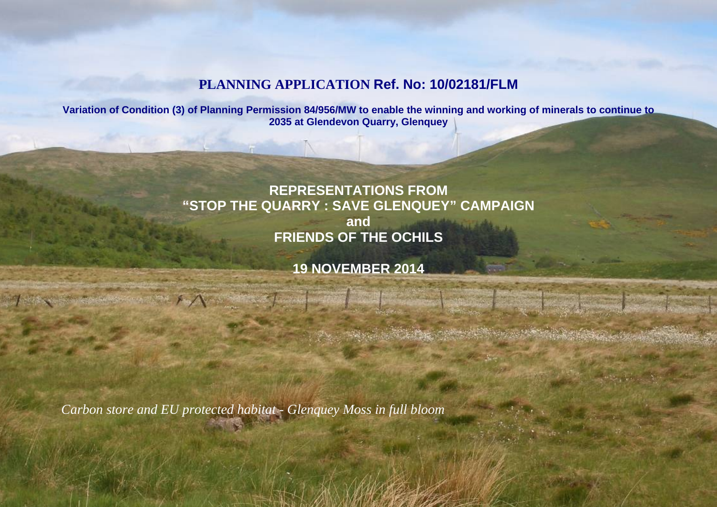## **PLANNING APPLICATION Ref. No: 10/02181/FLM**

**Variation of Condition (3) of Planning Permission 84/956/MW to enable the winning and working of minerals to continue to 2035 at Glendevon Quarry, Glenquey**

# **REPRESENTATIONS FROM "STOP THE QUARRY : SAVE GLENQUEY" CAMPAIGN and FRIENDS OF THE OCHILS**

**19 NOVEMBER 2014**

*Carbon store and EU protected habitat - Glenquey Moss in full bloom*

 $\mathbb{R} \times \mathbb{R}$  and  $\mathbb{R}$  are  $\mathbb{R}$  to  $\mathbb{R}$  in  $\mathbb{R}$  ,  $\mathbb{R}$  in  $\mathbb{R}$  and  $\mathbb{R}$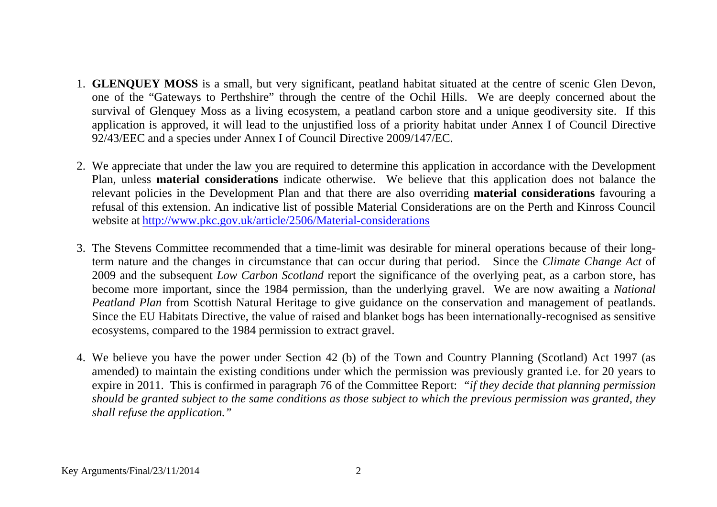- 1. **GLENQUEY MOSS** is a small, but very significant, peatland habitat situated at the centre of scenic Glen Devon, one of the "Gateways to Perthshire" through the centre of the Ochil Hills. We are deeply concerned about the survival of Glenquey Moss as a living ecosystem, a peatland carbon store and a unique geodiversity site. If this application is approved, it will lead to the unjustified loss of a priority habitat under Annex I of Council Directive 92/43/EEC and a species under Annex I of Council Directive 2009/147/EC.
- 2. We appreciate that under the law you are required to determine this application in accordance with the Development Plan, unless **material considerations** indicate otherwise. We believe that this application does not balance the relevant policies in the Development Plan and that there are also overriding **material considerations** favouring a refusal of this extension. An indicative list of possible Material Considerations are on the Perth and Kinross Council website at <http://www.pkc.gov.uk/article/2506/Material-considerations>
- 3. The Stevens Committee recommended that a time-limit was desirable for mineral operations because of their longterm nature and the changes in circumstance that can occur during that period. Since the *Climate Change Act* of 2009 and the subsequent *Low Carbon Scotland* report the significance of the overlying peat, as a carbon store, has become more important, since the 1984 permission, than the underlying gravel. We are now awaiting a *National Peatland Plan* from Scottish Natural Heritage to give guidance on the conservation and management of peatlands. Since the EU Habitats Directive, the value of raised and blanket bogs has been internationally-recognised as sensitive ecosystems, compared to the 1984 permission to extract gravel.
- 4. We believe you have the power under Section 42 (b) of the Town and Country Planning (Scotland) Act 1997 (as amended) to maintain the existing conditions under which the permission was previously granted i.e. for 20 years to expire in 2011. This is confirmed in paragraph 76 of the Committee Report: *"if they decide that planning permission should be granted subject to the same conditions as those subject to which the previous permission was granted, they shall refuse the application."*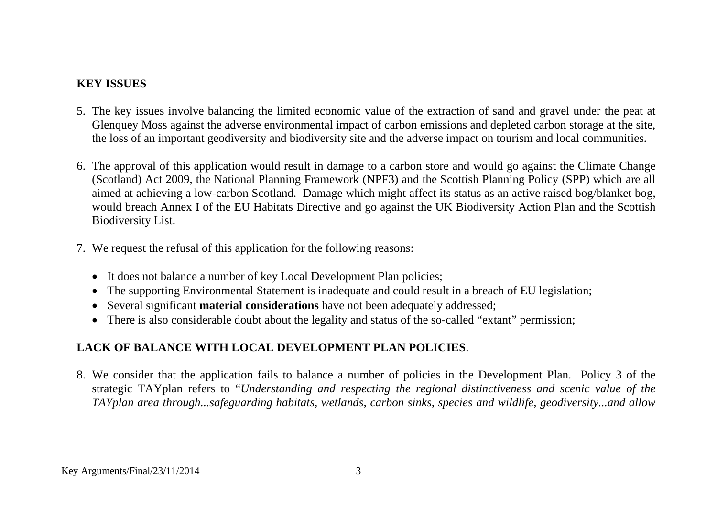### **KEY ISSUES**

- 5. The key issues involve balancing the limited economic value of the extraction of sand and gravel under the peat at Glenquey Moss against the adverse environmental impact of carbon emissions and depleted carbon storage at the site, the loss of an important geodiversity and biodiversity site and the adverse impact on tourism and local communities.
- 6. The approval of this application would result in damage to a carbon store and would go against the Climate Change (Scotland) Act 2009, the National Planning Framework (NPF3) and the Scottish Planning Policy (SPP) which are all aimed at achieving a low-carbon Scotland. Damage which might affect its status as an active raised bog/blanket bog, would breach Annex I of the EU Habitats Directive and go against the UK Biodiversity Action Plan and the Scottish Biodiversity List.
- 7. We request the refusal of this application for the following reasons:
	- It does not balance a number of key Local Development Plan policies;
	- The supporting Environmental Statement is inadequate and could result in a breach of EU legislation;
	- Several significant **material considerations** have not been adequately addressed;
	- There is also considerable doubt about the legality and status of the so-called "extant" permission;

## **LACK OF BALANCE WITH LOCAL DEVELOPMENT PLAN POLICIES**.

8. We consider that the application fails to balance a number of policies in the Development Plan. Policy 3 of the strategic TAYplan refers to "*Understanding and respecting the regional distinctiveness and scenic value of the TAYplan area through...safeguarding habitats, wetlands, carbon sinks, species and wildlife, geodiversity...and allow*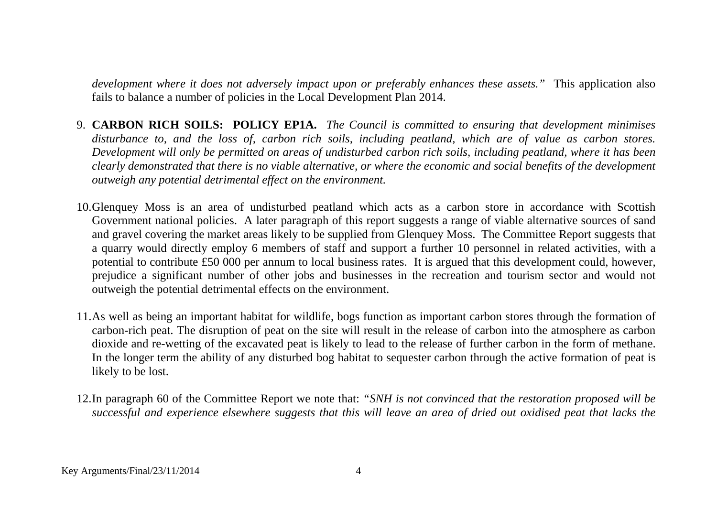*development where it does not adversely impact upon or preferably enhances these assets."* This application also fails to balance a number of policies in the Local Development Plan 2014.

- 9. **CARBON RICH SOILS: POLICY EP1A.** *The Council is committed to ensuring that development minimises disturbance to, and the loss of, carbon rich soils, including peatland, which are of value as carbon stores. Development will only be permitted on areas of undisturbed carbon rich soils, including peatland, where it has been clearly demonstrated that there is no viable alternative, or where the economic and social benefits of the development outweigh any potential detrimental effect on the environment.*
- 10.Glenquey Moss is an area of undisturbed peatland which acts as a carbon store in accordance with Scottish Government national policies. A later paragraph of this report suggests a range of viable alternative sources of sand and gravel covering the market areas likely to be supplied from Glenquey Moss. The Committee Report suggests that a quarry would directly employ 6 members of staff and support a further 10 personnel in related activities, with a potential to contribute £50 000 per annum to local business rates. It is argued that this development could, however, prejudice a significant number of other jobs and businesses in the recreation and tourism sector and would not outweigh the potential detrimental effects on the environment.
- 11.As well as being an important habitat for wildlife, bogs function as important carbon stores through the formation of carbon-rich peat. The disruption of peat on the site will result in the release of carbon into the atmosphere as carbon dioxide and re-wetting of the excavated peat is likely to lead to the release of further carbon in the form of methane. In the longer term the ability of any disturbed bog habitat to sequester carbon through the active formation of peat is likely to be lost.
- 12.In paragraph 60 of the Committee Report we note that: *"SNH is not convinced that the restoration proposed will be successful and experience elsewhere suggests that this will leave an area of dried out oxidised peat that lacks the*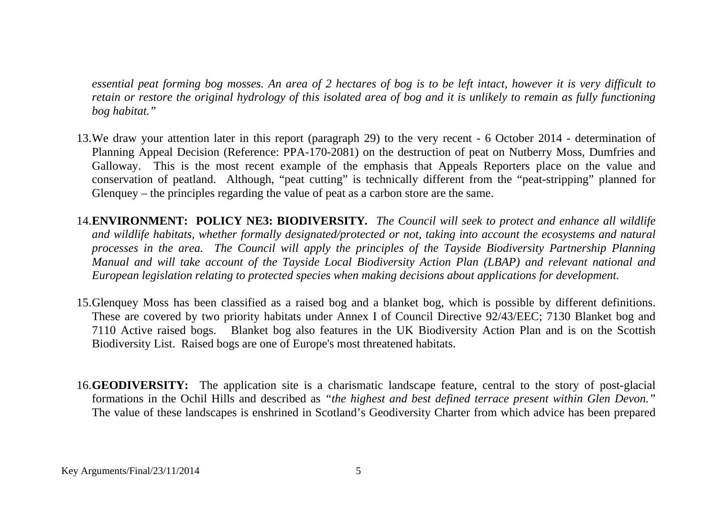*essential peat forming bog mosses. An area of 2 hectares of bog is to be left intact, however it is very difficult to retain or restore the original hydrology of this isolated area of bog and it is unlikely to remain as fully functioning bog habitat."*

- 13.We draw your attention later in this report (paragraph 29) to the very recent 6 October 2014 determination of Planning Appeal Decision (Reference: PPA-170-2081) on the destruction of peat on Nutberry Moss, Dumfries and Galloway. This is the most recent example of the emphasis that Appeals Reporters place on the value and conservation of peatland. Although, "peat cutting" is technically different from the "peat-stripping" planned for Glenquey – the principles regarding the value of peat as a carbon store are the same.
- 14.**ENVIRONMENT: POLICY NE3: BIODIVERSITY***. The Council will seek to protect and enhance all wildlife and wildlife habitats, whether formally designated/protected or not, taking into account the ecosystems and natural processes in the area. The Council will apply the principles of the Tayside Biodiversity Partnership Planning Manual and will take account of the Tayside Local Biodiversity Action Plan (LBAP) and relevant national and European legislation relating to protected species when making decisions about applications for development.*
- 15.Glenquey Moss has been classified as a raised bog and a blanket bog, which is possible by different definitions. These are covered by two priority habitats under Annex I of Council Directive 92/43/EEC; 7130 Blanket bog and 7110 Active raised bogs. Blanket bog also features in the UK Biodiversity Action Plan and is on the Scottish Biodiversity List. Raised bogs are one of Europe's most threatened habitats.
- 16.**GEODIVERSITY:** The application site is a charismatic landscape feature, central to the story of post-glacial formations in the Ochil Hills and described as *"the highest and best defined terrace present within Glen Devon."*  The value of these landscapes is enshrined in Scotland's Geodiversity Charter from which advice has been prepared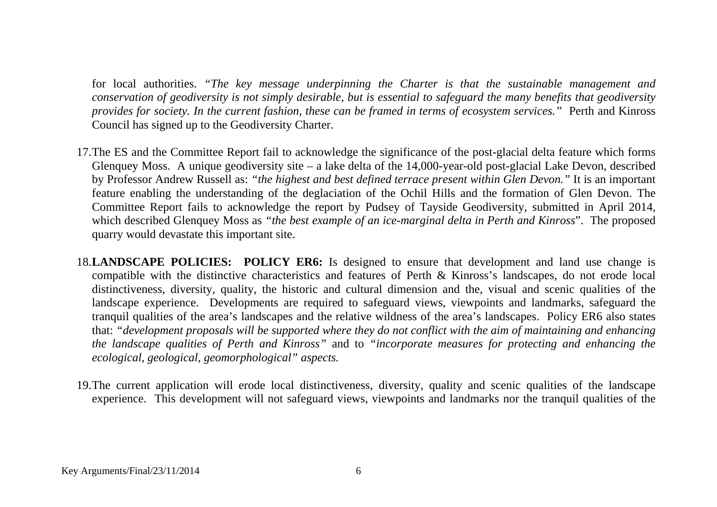for local authorities. *"The key message underpinning the Charter is that the sustainable management and conservation of geodiversity is not simply desirable, but is essential to safeguard the many benefits that geodiversity provides for society. In the current fashion, these can be framed in terms of ecosystem services."* Perth and Kinross Council has signed up to the Geodiversity Charter.

- 17.The ES and the Committee Report fail to acknowledge the significance of the post-glacial delta feature which forms Glenquey Moss. A unique geodiversity site – a lake delta of the 14,000-year-old post-glacial Lake Devon, described by Professor Andrew Russell as: *"the highest and best defined terrace present within Glen Devon."* It is an important feature enabling the understanding of the deglaciation of the Ochil Hills and the formation of Glen Devon. The Committee Report fails to acknowledge the report by Pudsey of Tayside Geodiversity, submitted in April 2014, which described Glenquey Moss as *"the best example of an ice-marginal delta in Perth and Kinross*". The proposed quarry would devastate this important site.
- 18.**LANDSCAPE POLICIES: POLICY ER6:** Is designed to ensure that development and land use change is compatible with the distinctive characteristics and features of Perth & Kinross's landscapes, do not erode local distinctiveness, diversity, quality, the historic and cultural dimension and the, visual and scenic qualities of the landscape experience. Developments are required to safeguard views, viewpoints and landmarks, safeguard the tranquil qualities of the area's landscapes and the relative wildness of the area's landscapes. Policy ER6 also states that: *"development proposals will be supported where they do not conflict with the aim of maintaining and enhancing the landscape qualities of Perth and Kinross"* and to *"incorporate measures for protecting and enhancing the ecological, geological, geomorphological" aspects.*
- 19.The current application will erode local distinctiveness, diversity, quality and scenic qualities of the landscape experience. This development will not safeguard views, viewpoints and landmarks nor the tranquil qualities of the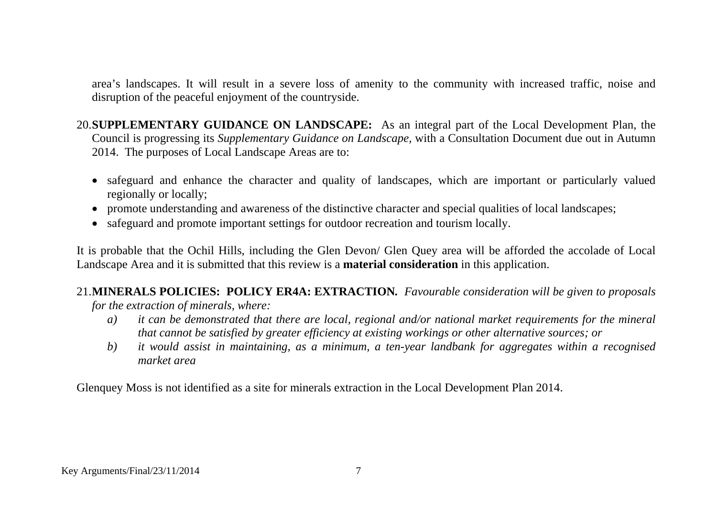area's landscapes. It will result in a severe loss of amenity to the community with increased traffic, noise and disruption of the peaceful enjoyment of the countryside.

20.**SUPPLEMENTARY GUIDANCE ON LANDSCAPE:** As an integral part of the Local Development Plan, the Council is progressing its *Supplementary Guidance on Landscape,* with a Consultation Document due out in Autumn 2014. The purposes of Local Landscape Areas are to:

- safeguard and enhance the character and quality of landscapes, which are important or particularly valued regionally or locally;
- promote understanding and awareness of the distinctive character and special qualities of local landscapes;
- safeguard and promote important settings for outdoor recreation and tourism locally.

It is probable that the Ochil Hills, including the Glen Devon/ Glen Quey area will be afforded the accolade of Local Landscape Area and it is submitted that this review is a **material consideration** in this application.

# 21.**MINERALS POLICIES: POLICY ER4A: EXTRACTION***. Favourable consideration will be given to proposals*

*for the extraction of minerals, where:*

- *a) it can be demonstrated that there are local, regional and/or national market requirements for the mineral that cannot be satisfied by greater efficiency at existing workings or other alternative sources; or*
- *b) it would assist in maintaining, as a minimum, a ten-year landbank for aggregates within a recognised market area*

Glenquey Moss is not identified as a site for minerals extraction in the Local Development Plan 2014.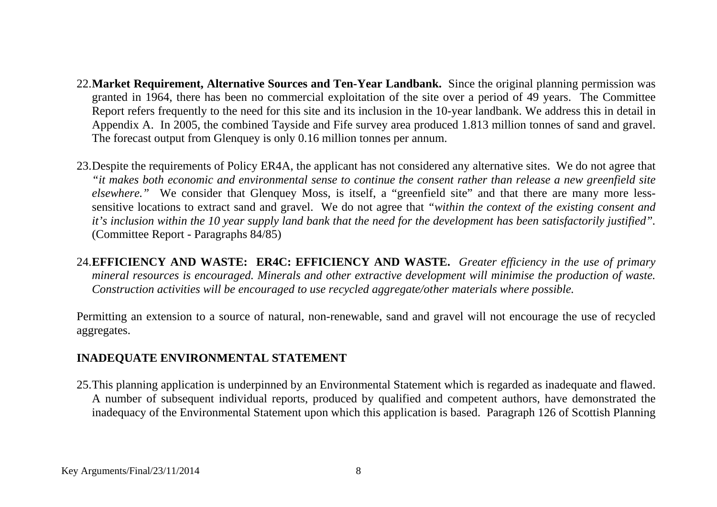- 22.**Market Requirement, Alternative Sources and Ten-Year Landbank.** Since the original planning permission was granted in 1964, there has been no commercial exploitation of the site over a period of 49 years. The Committee Report refers frequently to the need for this site and its inclusion in the 10-year landbank. We address this in detail in Appendix A. In 2005, the combined Tayside and Fife survey area produced 1.813 million tonnes of sand and gravel. The forecast output from Glenquey is only 0.16 million tonnes per annum.
- 23.Despite the requirements of Policy ER4A, the applicant has not considered any alternative sites. We do not agree that *"it makes both economic and environmental sense to continue the consent rather than release a new greenfield site elsewhere."* We consider that Glenquey Moss, is itself, a "greenfield site" and that there are many more lesssensitive locations to extract sand and gravel. We do not agree that *"within the context of the existing consent and it's inclusion within the 10 year supply land bank that the need for the development has been satisfactorily justified".* (Committee Report - Paragraphs 84/85)
- 24.**EFFICIENCY AND WASTE: ER4C: EFFICIENCY AND WASTE.** *Greater efficiency in the use of primary mineral resources is encouraged. Minerals and other extractive development will minimise the production of waste. Construction activities will be encouraged to use recycled aggregate/other materials where possible.*

Permitting an extension to a source of natural, non-renewable, sand and gravel will not encourage the use of recycled aggregates.

### **INADEQUATE ENVIRONMENTAL STATEMENT**

25.This planning application is underpinned by an Environmental Statement which is regarded as inadequate and flawed. A number of subsequent individual reports, produced by qualified and competent authors, have demonstrated the inadequacy of the Environmental Statement upon which this application is based. Paragraph 126 of Scottish Planning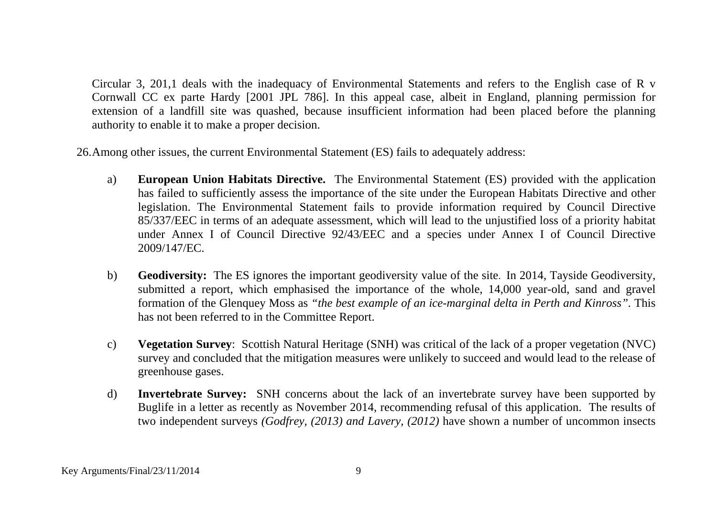Circular 3, 201,1 deals with the inadequacy of Environmental Statements and refers to the English case of R v Cornwall CC ex parte Hardy [2001 JPL 786]. In this appeal case, albeit in England, planning permission for extension of a landfill site was quashed, because insufficient information had been placed before the planning authority to enable it to make a proper decision.

26.Among other issues, the current Environmental Statement (ES) fails to adequately address:

- a) **European Union Habitats Directive.** The Environmental Statement (ES) provided with the application has failed to sufficiently assess the importance of the site under the European Habitats Directive and other legislation. The Environmental Statement fails to provide information required by Council Directive 85/337/EEC in terms of an adequate assessment, which will lead to the unjustified loss of a priority habitat under Annex I of Council Directive 92/43/EEC and a species under Annex I of Council Directive 2009/147/EC.
- b) **Geodiversity:** The ES ignores the important geodiversity value of the site. In 2014, Tayside Geodiversity, submitted a report, which emphasised the importance of the whole, 14,000 year-old, sand and gravel formation of the Glenquey Moss as *"the best example of an ice-marginal delta in Perth and Kinross".* This has not been referred to in the Committee Report.
- c) **Vegetation Survey**: Scottish Natural Heritage (SNH) was critical of the lack of a proper vegetation (NVC) survey and concluded that the mitigation measures were unlikely to succeed and would lead to the release of greenhouse gases.
- d) **Invertebrate Survey:** SNH concerns about the lack of an invertebrate survey have been supported by Buglife in a letter as recently as November 2014, recommending refusal of this application. The results of two independent surveys *(Godfrey, (2013) and Lavery, (2012)* have shown a number of uncommon insects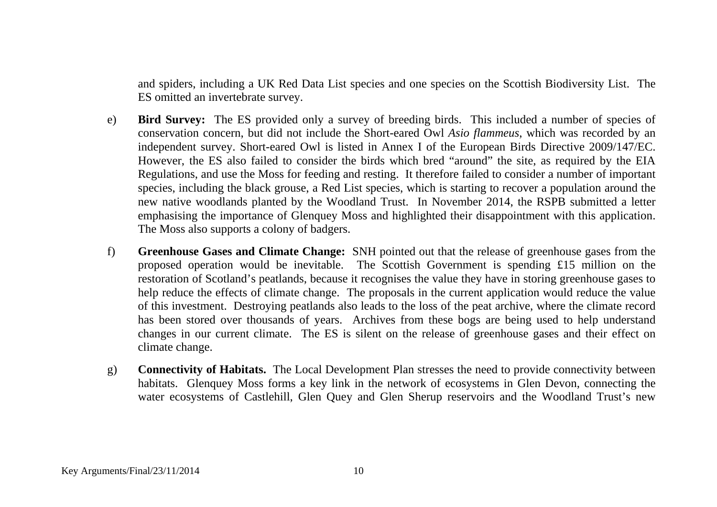and spiders, including a UK Red Data List species and one species on the Scottish Biodiversity List. The ES omitted an invertebrate survey.

- e) **Bird Survey:** The ES provided only a survey of breeding birds. This included a number of species of conservation concern, but did not include the Short-eared Owl *Asio flammeus*, which was recorded by an independent survey. Short-eared Owl is listed in Annex I of the European Birds Directive 2009/147/EC. However, the ES also failed to consider the birds which bred "around" the site, as required by the EIA Regulations, and use the Moss for feeding and resting. It therefore failed to consider a number of important species, including the black grouse, a Red List species, which is starting to recover a population around the new native woodlands planted by the Woodland Trust. In November 2014, the RSPB submitted a letter emphasising the importance of Glenquey Moss and highlighted their disappointment with this application. The Moss also supports a colony of badgers.
- f) **Greenhouse Gases and Climate Change:** SNH pointed out that the release of greenhouse gases from the proposed operation would be inevitable. The Scottish Government is spending £15 million on the restoration of Scotland's peatlands, because it recognises the value they have in storing greenhouse gases to help reduce the effects of climate change. The proposals in the current application would reduce the value of this investment. Destroying peatlands also leads to the loss of the peat archive, where the climate record has been stored over thousands of years. Archives from these bogs are being used to help understand changes in our current climate. The ES is silent on the release of greenhouse gases and their effect on climate change.
- g) **Connectivity of Habitats.** The Local Development Plan stresses the need to provide connectivity between habitats. Glenquey Moss forms a key link in the network of ecosystems in Glen Devon, connecting the water ecosystems of Castlehill, Glen Quey and Glen Sherup reservoirs and the Woodland Trust's new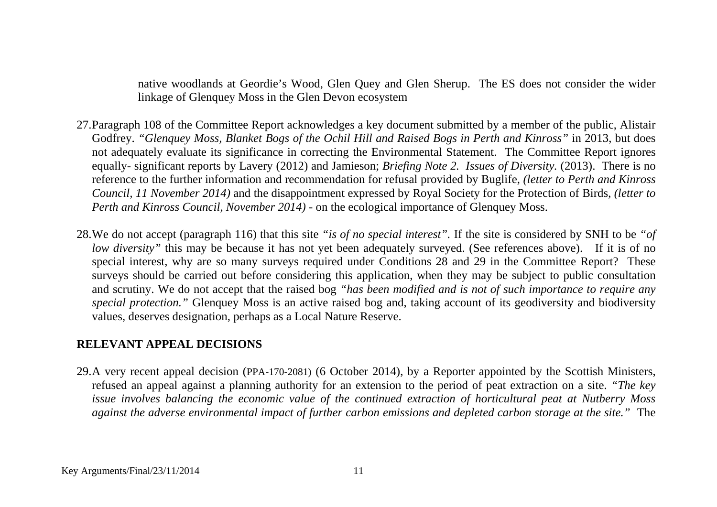native woodlands at Geordie's Wood, Glen Quey and Glen Sherup. The ES does not consider the wider linkage of Glenquey Moss in the Glen Devon ecosystem

- 27.Paragraph 108 of the Committee Report acknowledges a key document submitted by a member of the public, Alistair Godfrey. *"Glenquey Moss, Blanket Bogs of the Ochil Hill and Raised Bogs in Perth and Kinross"* in 2013, but does not adequately evaluate its significance in correcting the Environmental Statement. The Committee Report ignores equally- significant reports by Lavery (2012) and Jamieson; *Briefing Note 2. Issues of Diversity.* (2013). There is no reference to the further information and recommendation for refusal provided by Buglife, *(letter to Perth and Kinross Council, 11 November 2014)* and the disappointment expressed by Royal Society for the Protection of Birds, *(letter to Perth and Kinross Council, November 2014)* - on the ecological importance of Glenquey Moss.
- 28.We do not accept (paragraph 116) that this site *"is of no special interest".* If the site is considered by SNH to be *"of low diversity*" this may be because it has not yet been adequately surveyed. (See references above). If it is of no special interest, why are so many surveys required under Conditions 28 and 29 in the Committee Report? These surveys should be carried out before considering this application, when they may be subject to public consultation and scrutiny. We do not accept that the raised bog *"has been modified and is not of such importance to require any special protection."* Glenquey Moss is an active raised bog and, taking account of its geodiversity and biodiversity values, deserves designation, perhaps as a Local Nature Reserve.

### **RELEVANT APPEAL DECISIONS**

29.A very recent appeal decision (PPA-170-2081) (6 October 2014), by a Reporter appointed by the Scottish Ministers, refused an appeal against a planning authority for an extension to the period of peat extraction on a site. *"The key issue involves balancing the economic value of the continued extraction of horticultural peat at Nutberry Moss against the adverse environmental impact of further carbon emissions and depleted carbon storage at the site."* The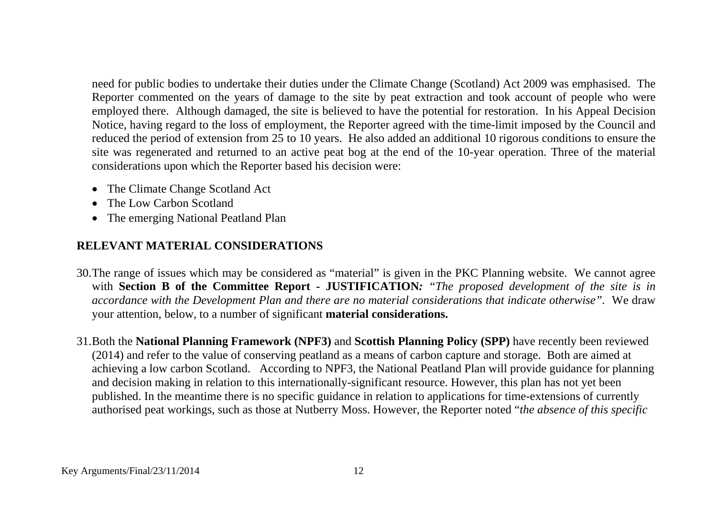need for public bodies to undertake their duties under the Climate Change (Scotland) Act 2009 was emphasised. The Reporter commented on the years of damage to the site by peat extraction and took account of people who were employed there. Although damaged, the site is believed to have the potential for restoration. In his Appeal Decision Notice, having regard to the loss of employment, the Reporter agreed with the time-limit imposed by the Council and reduced the period of extension from 25 to 10 years. He also added an additional 10 rigorous conditions to ensure the site was regenerated and returned to an active peat bog at the end of the 10-year operation. Three of the material considerations upon which the Reporter based his decision were:

- The Climate Change Scotland Act
- The Low Carbon Scotland
- The emerging National Peatland Plan

### **RELEVANT MATERIAL CONSIDERATIONS**

- 30.The range of issues which may be considered as "material" is given in the PKC Planning website. We cannot agree with **Section B of the Committee Report - JUSTIFICATION***: "The proposed development of the site is in accordance with the Development Plan and there are no material considerations that indicate otherwise".* We draw your attention, below, to a number of significant **material considerations.**
- 31.Both the **National Planning Framework (NPF3)** and **Scottish Planning Policy (SPP)** have recently been reviewed (2014) and refer to the value of conserving peatland as a means of carbon capture and storage. Both are aimed at achieving a low carbon Scotland. According to NPF3, the National Peatland Plan will provide guidance for planning and decision making in relation to this internationally-significant resource. However, this plan has not yet been published. In the meantime there is no specific guidance in relation to applications for time-extensions of currently authorised peat workings, such as those at Nutberry Moss. However, the Reporter noted "*the absence of this specific*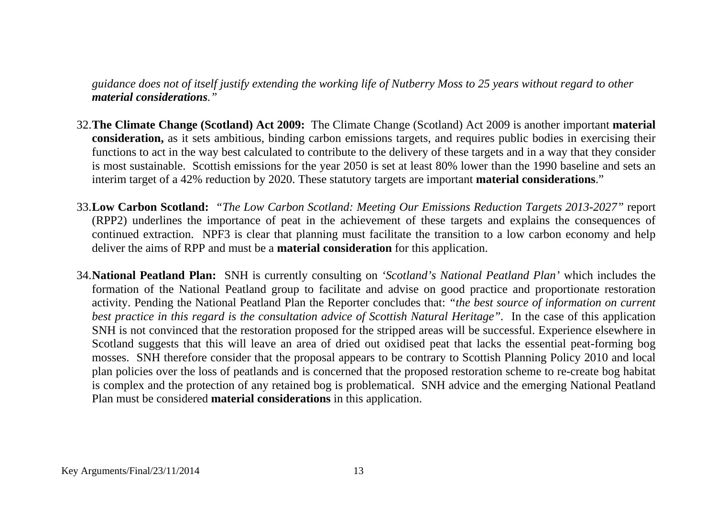*guidance does not of itself justify extending the working life of Nutberry Moss to 25 years without regard to other material considerations."*

- 32.**The Climate Change (Scotland) Act 2009:** The Climate Change (Scotland) Act 2009 is another important **material consideration,** as it sets ambitious, binding carbon emissions targets, and requires public bodies in exercising their functions to act in the way best calculated to contribute to the delivery of these targets and in a way that they consider is most sustainable. Scottish emissions for the year 2050 is set at least 80% lower than the 1990 baseline and sets an interim target of a 42% reduction by 2020. These statutory targets are important **material considerations**."
- 33.**Low Carbon Scotland:** *"The Low Carbon Scotland: Meeting Our Emissions Reduction Targets 2013-2027"* report (RPP2) underlines the importance of peat in the achievement of these targets and explains the consequences of continued extraction. NPF3 is clear that planning must facilitate the transition to a low carbon economy and help deliver the aims of RPP and must be a **material consideration** for this application.
- 34.**National Peatland Plan:** SNH is currently consulting on *'Scotland's National Peatland Plan'* which includes the formation of the National Peatland group to facilitate and advise on good practice and proportionate restoration activity. Pending the National Peatland Plan the Reporter concludes that: *"the best source of information on current best practice in this regard is the consultation advice of Scottish Natural Heritage".* In the case of this application SNH is not convinced that the restoration proposed for the stripped areas will be successful. Experience elsewhere in Scotland suggests that this will leave an area of dried out oxidised peat that lacks the essential peat-forming bog mosses. SNH therefore consider that the proposal appears to be contrary to Scottish Planning Policy 2010 and local plan policies over the loss of peatlands and is concerned that the proposed restoration scheme to re-create bog habitat is complex and the protection of any retained bog is problematical. SNH advice and the emerging National Peatland Plan must be considered **material considerations** in this application.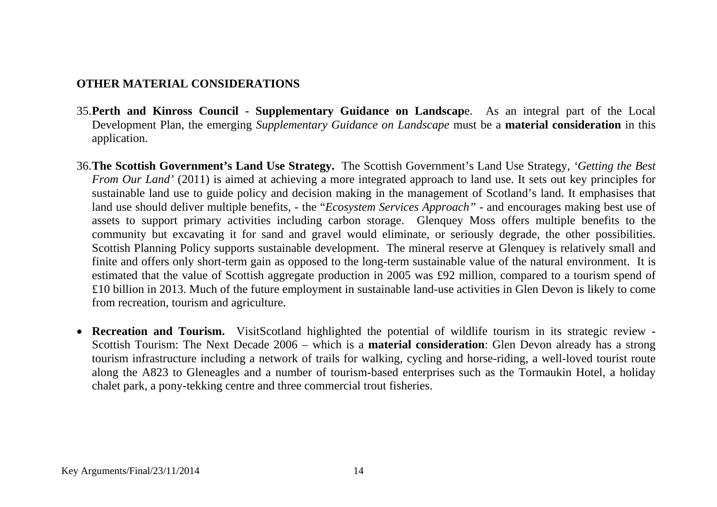### **OTHER MATERIAL CONSIDERATIONS**

- 35.**Perth and Kinross Council - Supplementary Guidance on Landscap**e. As an integral part of the Local Development Plan, the emerging *Supplementary Guidance on Landscape* must be a **material consideration** in this application.
- 36.**The Scottish Government's Land Use Strategy.** The Scottish Government's Land Use Strategy, *'Getting the Best From Our Land'* (2011) is aimed at achieving a more integrated approach to land use. It sets out key principles for sustainable land use to guide policy and decision making in the management of Scotland's land. It emphasises that land use should deliver multiple benefits, - the "*Ecosystem Services Approach"* - and encourages making best use of assets to support primary activities including carbon storage. Glenquey Moss offers multiple benefits to the community but excavating it for sand and gravel would eliminate, or seriously degrade, the other possibilities. Scottish Planning Policy supports sustainable development. The mineral reserve at Glenquey is relatively small and finite and offers only short-term gain as opposed to the long-term sustainable value of the natural environment. It is estimated that the value of Scottish aggregate production in 2005 was £92 million, compared to a tourism spend of £10 billion in 2013. Much of the future employment in sustainable land-use activities in Glen Devon is likely to come from recreation, tourism and agriculture.
- **Recreation and Tourism.** VisitScotland highlighted the potential of wildlife tourism in its strategic review Scottish Tourism: The Next Decade 2006 – which is a **material consideration**: Glen Devon already has a strong tourism infrastructure including a network of trails for walking, cycling and horse-riding, a well-loved tourist route along the A823 to Gleneagles and a number of tourism-based enterprises such as the Tormaukin Hotel, a holiday chalet park, a pony-tekking centre and three commercial trout fisheries.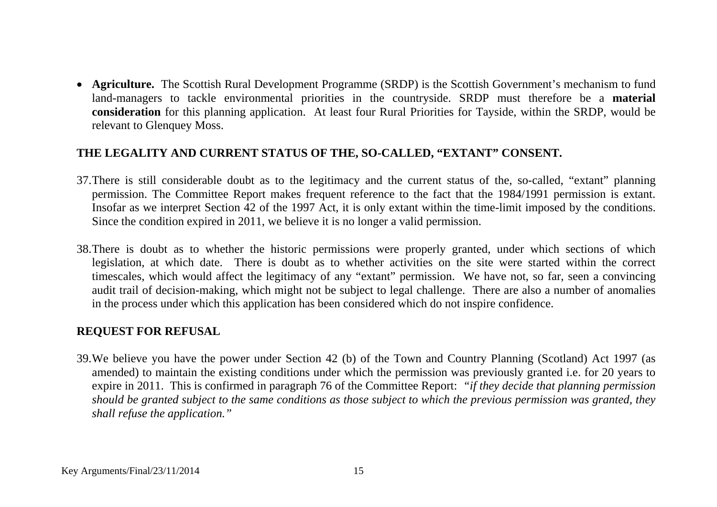• **Agriculture.** The Scottish Rural Development Programme (SRDP) is the Scottish Government's mechanism to fund land-managers to tackle environmental priorities in the countryside. SRDP must therefore be a **material consideration** for this planning application. At least four Rural Priorities for Tayside, within the SRDP, would be relevant to Glenquey Moss.

#### **THE LEGALITY AND CURRENT STATUS OF THE, SO-CALLED, "EXTANT" CONSENT.**

- 37.There is still considerable doubt as to the legitimacy and the current status of the, so-called, "extant" planning permission. The Committee Report makes frequent reference to the fact that the 1984/1991 permission is extant. Insofar as we interpret Section 42 of the 1997 Act, it is only extant within the time-limit imposed by the conditions. Since the condition expired in 2011, we believe it is no longer a valid permission.
- 38.There is doubt as to whether the historic permissions were properly granted, under which sections of which legislation, at which date. There is doubt as to whether activities on the site were started within the correct timescales, which would affect the legitimacy of any "extant" permission. We have not, so far, seen a convincing audit trail of decision-making, which might not be subject to legal challenge. There are also a number of anomalies in the process under which this application has been considered which do not inspire confidence.

### **REQUEST FOR REFUSAL**

39.We believe you have the power under Section 42 (b) of the Town and Country Planning (Scotland) Act 1997 (as amended) to maintain the existing conditions under which the permission was previously granted i.e. for 20 years to expire in 2011. This is confirmed in paragraph 76 of the Committee Report: *"if they decide that planning permission should be granted subject to the same conditions as those subject to which the previous permission was granted, they shall refuse the application."*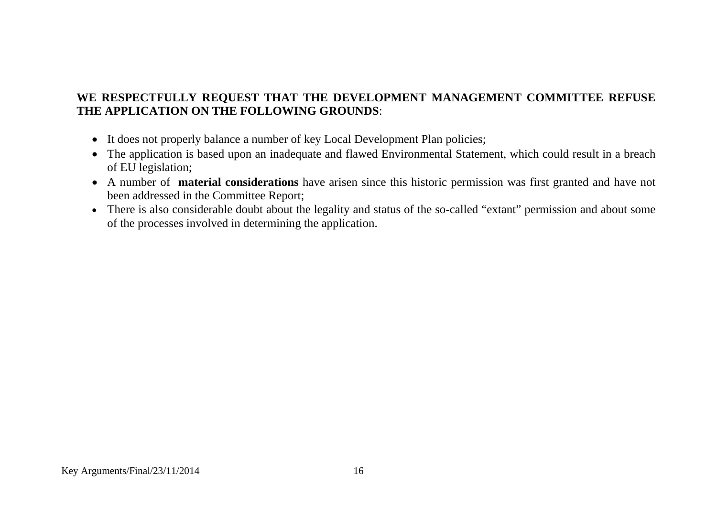### **WE RESPECTFULLY REQUEST THAT THE DEVELOPMENT MANAGEMENT COMMITTEE REFUSE THE APPLICATION ON THE FOLLOWING GROUNDS**:

- It does not properly balance a number of key Local Development Plan policies;
- The application is based upon an inadequate and flawed Environmental Statement, which could result in a breach of EU legislation;
- A number of **material considerations** have arisen since this historic permission was first granted and have not been addressed in the Committee Report;
- There is also considerable doubt about the legality and status of the so-called "extant" permission and about some of the processes involved in determining the application.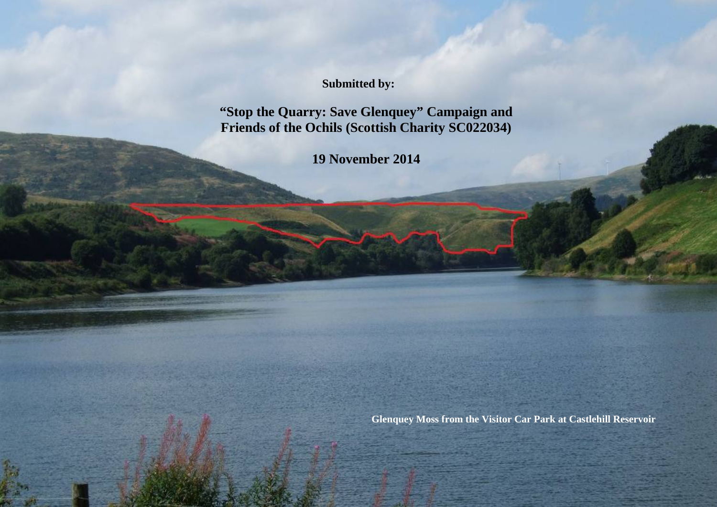**Submitted by:**

**"Stop the Quarry: Save Glenquey" Campaign and Friends of the Ochils (Scottish Charity SC022034)**

**19 November 2014**

Key Arguments/Final/23/11/2014 17

**Glenquey Moss from the Visitor Car Park at Castlehill Reservoir**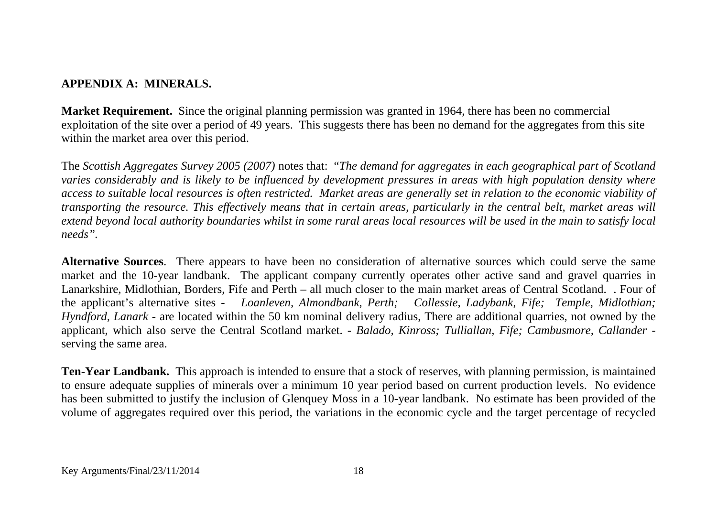### **APPENDIX A: MINERALS.**

**Market Requirement.** Since the original planning permission was granted in 1964, there has been no commercial exploitation of the site over a period of 49 years. This suggests there has been no demand for the aggregates from this site within the market area over this period.

The *Scottish Aggregates Survey 2005 (2007)* notes that: "*The demand for aggregates in each geographical part of Scotland varies considerably and is likely to be influenced by development pressures in areas with high population density where access to suitable local resources is often restricted. Market areas are generally set in relation to the economic viability of transporting the resource. This effectively means that in certain areas, particularly in the central belt, market areas will extend beyond local authority boundaries whilst in some rural areas local resources will be used in the main to satisfy local needs".* 

**Alternative Sources**. There appears to have been no consideration of alternative sources which could serve the same market and the 10-year landbank. The applicant company currently operates other active sand and gravel quarries in Lanarkshire, Midlothian, Borders, Fife and Perth – all much closer to the main market areas of Central Scotland. . Four of the applicant's alternative sites - *Loanleven, Almondbank, Perth; Collessie, Ladybank, Fife; Temple, Midlothian; Hyndford, Lanark* - are located within the 50 km nominal delivery radius, There are additional quarries, not owned by the applicant, which also serve the Central Scotland market. *- Balado, Kinross; Tulliallan, Fife; Cambusmore, Callander* serving the same area.

**Ten-Year Landbank.** This approach is intended to ensure that a stock of reserves, with planning permission, is maintained to ensure adequate supplies of minerals over a minimum 10 year period based on current production levels. No evidence has been submitted to justify the inclusion of Glenquey Moss in a 10-year landbank. No estimate has been provided of the volume of aggregates required over this period, the variations in the economic cycle and the target percentage of recycled